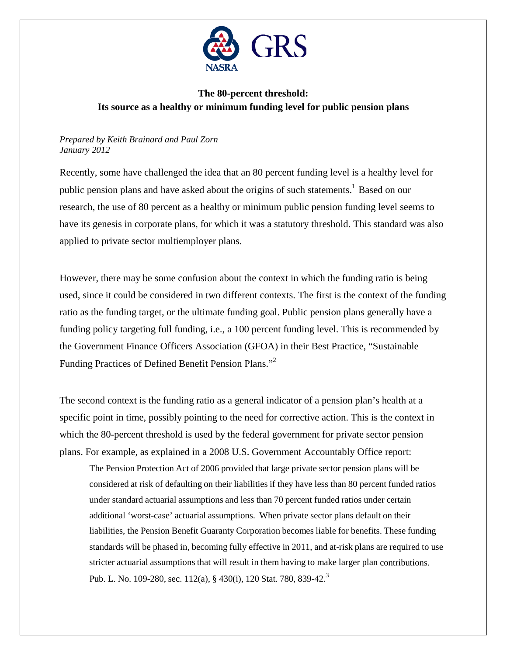

## **The 80-percent threshold: Its source as a healthy or minimum funding level for public pension plans**

## *Prepared by Keith Brainard and Paul Zorn January 2012*

Recently, some have challenged the idea that an 80 percent funding level is a healthy level for public pension plans and have asked about the origins of such statements.<sup>1</sup> Based on our research, the use of 80 percent as a healthy or minimum public pension funding level seems to have its genesis in corporate plans, for which it was a statutory threshold. This standard was also applied to private sector multiemployer plans.

However, there may be some confusion about the context in which the funding ratio is being used, since it could be considered in two different contexts. The first is the context of the funding ratio as the funding target, or the ultimate funding goal. Public pension plans generally have a funding policy targeting full funding, i.e., a 100 percent funding level. This is recommended by the Government Finance Officers Association (GFOA) in their Best Practice, "Sustainable Funding Practices of Defined Benefit Pension Plans."<sup>2</sup>

The second context is the funding ratio as a general indicator of a pension plan's health at a specific point in time, possibly pointing to the need for corrective action. This is the context in which the 80-percent threshold is used by the federal government for private sector pension plans. For example, as explained in a 2008 U.S. Government Accountably Office report:

The Pension Protection Act of 2006 provided that large private sector pension plans will be considered at risk of defaulting on their liabilities if they have less than 80 percent funded ratios under standard actuarial assumptions and less than 70 percent funded ratios under certain additional 'worst-case' actuarial assumptions. When private sector plans default on their liabilities, the Pension Benefit Guaranty Corporation becomes liable for benefits. These funding standards will be phased in, becoming fully effective in 2011, and at-risk plans are required to use stricter actuarial assumptions that will result in them having to make larger plan contributions. Pub. L. No. 109-280, sec. 112(a), § 430(i), 120 Stat. 780, 839-42.<sup>3</sup>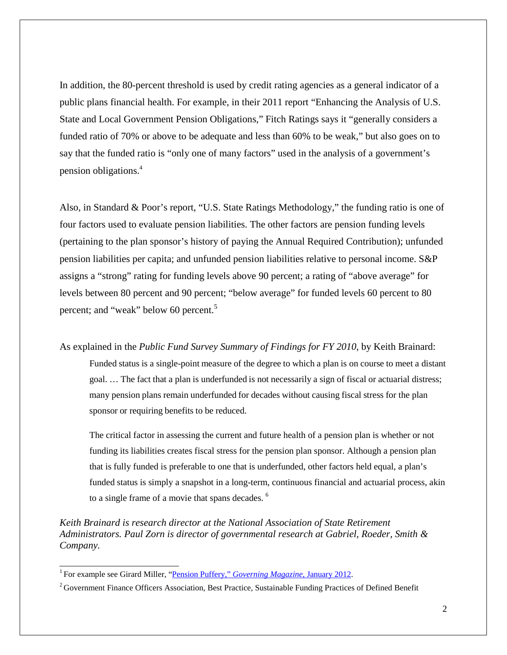In addition, the 80-percent threshold is used by credit rating agencies as a general indicator of a public plans financial health. For example, in their 2011 report "Enhancing the Analysis of U.S. State and Local Government Pension Obligations," Fitch Ratings says it "generally considers a funded ratio of 70% or above to be adequate and less than 60% to be weak," but also goes on to say that the funded ratio is "only one of many factors" used in the analysis of a government's pension obligations. 4

Also, in Standard & Poor's report, "U.S. State Ratings Methodology," the funding ratio is one of four factors used to evaluate pension liabilities. The other factors are pension funding levels (pertaining to the plan sponsor's history of paying the Annual Required Contribution); unfunded pension liabilities per capita; and unfunded pension liabilities relative to personal income. S&P assigns a "strong" rating for funding levels above 90 percent; a rating of "above average" for levels between 80 percent and 90 percent; "below average" for funded levels 60 percent to 80 percent; and "weak" below 60 percent.<sup>5</sup>

As explained in the *Public Fund Survey Summary of Findings for FY 2010*, by Keith Brainard:

Funded status is a single-point measure of the degree to which a plan is on course to meet a distant goal. … The fact that a plan is underfunded is not necessarily a sign of fiscal or actuarial distress; many pension plans remain underfunded for decades without causing fiscal stress for the plan sponsor or requiring benefits to be reduced.

The critical factor in assessing the current and future health of a pension plan is whether or not funding its liabilities creates fiscal stress for the pension plan sponsor. Although a pension plan that is fully funded is preferable to one that is underfunded, other factors held equal, a plan's funded status is simply a snapshot in a long-term, continuous financial and actuarial process, akin to a single frame of a movie that spans decades. <sup>6</sup>

*Keith Brainard is research director at the National Association of State Retirement Administrators. Paul Zorn is director of governmental research at Gabriel, Roeder, Smith & Company.*

<sup>&</sup>lt;sup>1</sup> For example see Girard Miller, ["Pension Puffery,"](http://www.governing.com/columns/public-money/col-Pension-Puffery.html) *Governing Magazine*, January 2012.

<sup>&</sup>lt;sup>2</sup> Government Finance Officers Association, Best Practice, Sustainable Funding Practices of Defined Benefit